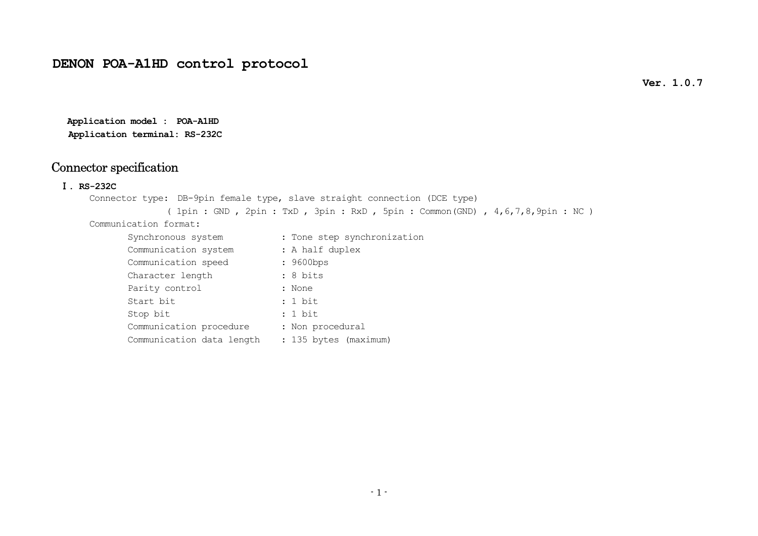**Ver. 1.0.7** 

**Application model : POA-A1HD Application terminal: RS-232C**

## Connector specification

Ⅰ**. RS-232C** 

Connector type: DB-9pin female type, slave straight connection (DCE type) ( 1pin : GND , 2pin : TxD , 3pin : RxD , 5pin : Common(GND) , 4,6,7,8,9pin : NC )

Communication format:

| Synchronous system        | : Tone step synchronization |  |  |
|---------------------------|-----------------------------|--|--|
| Communication system      | : A half duplex             |  |  |
| Communication speed       | : 9600bps                   |  |  |
| Character length          | : 8 bits                    |  |  |
| Parity control            | : None                      |  |  |
| Start bit                 | : 1 bit                     |  |  |
| Stop bit                  | : 1 bit                     |  |  |
| Communication procedure   | : Non procedural            |  |  |
| Communication data length | : 135 bytes (maximum)       |  |  |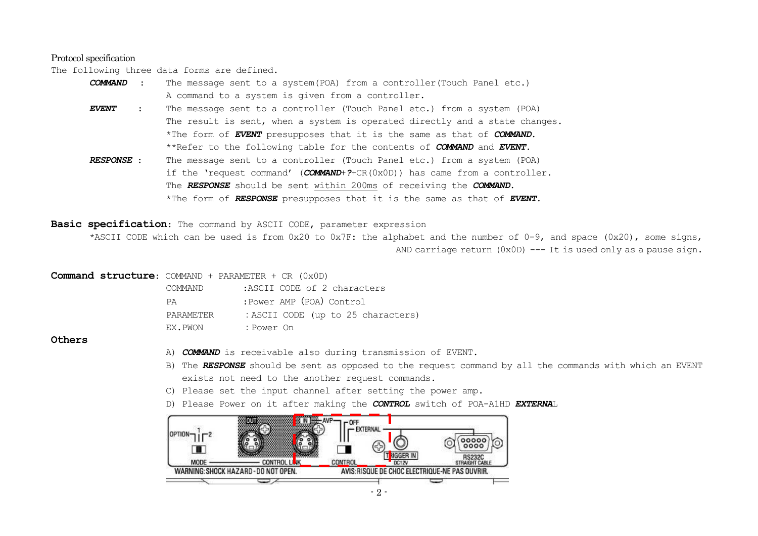#### Protocol specification

The following three data forms are defined.

| COMMAND :           |                                                                                      | The message sent to a system (POA) from a controller (Touch Panel etc.)               |  |
|---------------------|--------------------------------------------------------------------------------------|---------------------------------------------------------------------------------------|--|
|                     |                                                                                      | A command to a system is given from a controller.                                     |  |
| <i><b>EVENT</b></i> |                                                                                      | The message sent to a controller (Touch Panel etc.) from a system (POA)               |  |
|                     |                                                                                      | The result is sent, when a system is operated directly and a state changes.           |  |
|                     |                                                                                      | *The form of <b>EVENT</b> presupposes that it is the same as that of <b>COMMAND</b> . |  |
|                     | **Refer to the following table for the contents of <b>COMMAND</b> and <b>EVENT</b> . |                                                                                       |  |
| . המזורחההם         |                                                                                      | The measure sent to a controller (Teuch Danal etc.) from a sustam (DOA)               |  |

*RESPONSE* : The message sent to a controller (Touch Panel etc.) from a system (POA) if the 'request command' (*COMMAND*+*?*+CR(0x0D)) has came from a controller. The *RESPONSE* should be sent within 200ms of receiving the *COMMAND*. \*The form of *RESPONSE* presupposes that it is the same as that of *EVENT*.

**Basic specification**: The command by ASCII CODE, parameter expression

\*ASCII CODE which can be used is from 0x20 to 0x7F: the alphabet and the number of 0-9, and space (0x20), some signs, AND carriage return (0x0D) --- It is used only as a pause sign.

#### **Command structure**: COMMAND + PARAMETER + CR (0x0D)

| COMMAND.  | :ASCII CODE of 2 characters        |
|-----------|------------------------------------|
| PA.       | :Power AMP (POA) Control           |
| PARAMETER | : ASCII CODE (up to 25 characters) |
| EX.PWON   | : Power On                         |

#### **Others**

- A) *COMMAND* is receivable also during transmission of EVENT.
- B) The *RESPONSE* should be sent as opposed to the request command by all the commands with which an EVENT exists not need to the another request commands.
- C) Please set the input channel after setting the power amp.
- D) Please Power on it after making the *CONTROL* switch of POA-A1HD *EXTERNA*<sup>L</sup>

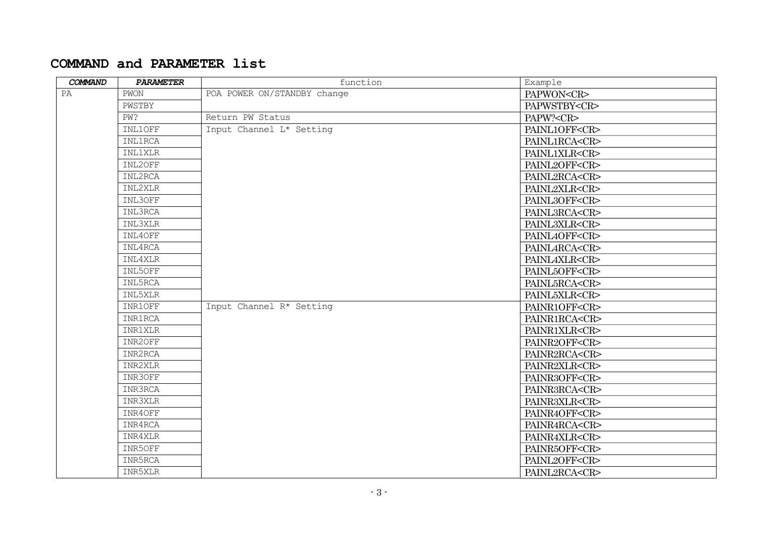### **COMMAND and PARAMETER list**

| COMMAND | PARAMETER      | function                    | Example             |
|---------|----------------|-----------------------------|---------------------|
| PA      | PWON           | POA POWER ON/STANDBY change | PAPWON <cr></cr>    |
|         | PWSTBY         |                             | PAPWSTBY <cr></cr>  |
|         | PW?            | Return PW Status            | PAPW? <cr></cr>     |
|         | INL1OFF        | Input Channel L* Setting    | PAINL1OFF <cr></cr> |
|         | <b>INL1RCA</b> |                             | PAINL1RCA <cr></cr> |
|         | <b>INL1XLR</b> |                             | PAINL1XLR <cr></cr> |
|         | INL2OFF        |                             | PAINL2OFF <cr></cr> |
|         | INL2RCA        |                             | PAINL2RCA <cr></cr> |
|         | INL2XLR        |                             | PAINL2XLR <cr></cr> |
|         | INL3OFF        |                             | PAINL3OFF <cr></cr> |
|         | INL3RCA        |                             | PAINL3RCA <cr></cr> |
|         | INL3XLR        |                             | PAINL3XLR <cr></cr> |
|         | INL4OFF        |                             | PAINL4OFF <cr></cr> |
|         | INL4RCA        |                             | PAINL4RCA <cr></cr> |
|         | INL4XLR        |                             | PAINL4XLR <cr></cr> |
|         | INL5OFF        |                             | PAINL5OFF <cr></cr> |
|         | INL5RCA        |                             | PAINL5RCA <cr></cr> |
|         | INL5XLR        |                             | PAINL5XLR <cr></cr> |
|         | INR1OFF        | Input Channel R* Setting    | PAINR1OFF <cr></cr> |
|         | <b>INR1RCA</b> |                             | PAINR1RCA <cr></cr> |
|         | <b>INR1XLR</b> |                             | PAINR1XLR <cr></cr> |
|         | INR2OFF        |                             | PAINR2OFF <cr></cr> |
|         | INR2RCA        |                             | PAINR2RCA <cr></cr> |
|         | INR2XLR        |                             | PAINR2XLR <cr></cr> |
|         | INR3OFF        |                             | PAINR3OFF <cr></cr> |
|         | INR3RCA        |                             | PAINR3RCA <cr></cr> |
|         | INR3XLR        |                             | PAINR3XLR <cr></cr> |
|         | INR4OFF        |                             | PAINR4OFF <cr></cr> |
|         | INR4RCA        |                             | PAINR4RCA <cr></cr> |
|         | INR4XLR        |                             | PAINR4XLR <cr></cr> |
|         | INR5OFF        |                             | PAINR5OFF <cr></cr> |
|         | INR5RCA        |                             | PAINL2OFF <cr></cr> |
|         | INR5XLR        |                             | PAINL2RCA <cr></cr> |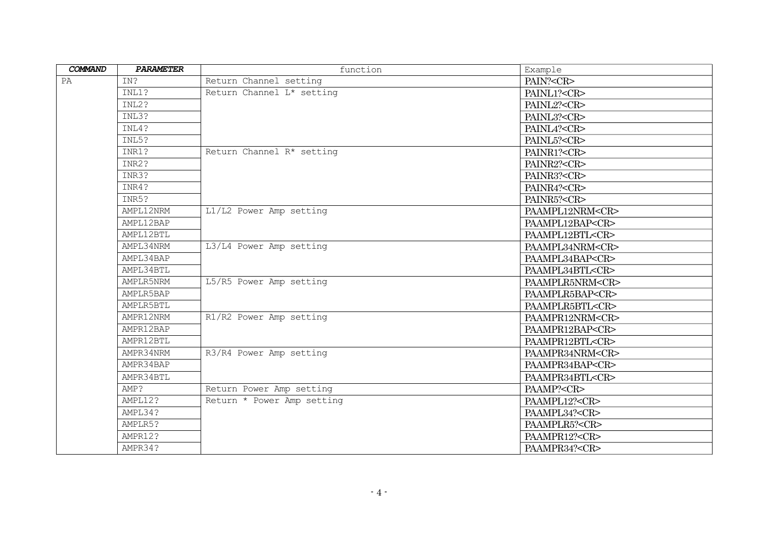| COMMAND   | PARAMETER | function                   | Example               |
|-----------|-----------|----------------------------|-----------------------|
| IN?<br>PA |           | Return Channel setting     | PAIN? <cr></cr>       |
|           | INL1?     | Return Channel L* setting  | PAINL1? <cr></cr>     |
|           | INL2?     |                            | PAINL2? <cr></cr>     |
|           | INL3?     |                            | PAINL3? <cr></cr>     |
|           | INL4?     |                            | PAINL4? <cr></cr>     |
|           | INL5?     |                            | PAINL5? <cr></cr>     |
|           | INR1?     | Return Channel R* setting  | PAINR1? <cr></cr>     |
|           | INR2?     |                            | PAINR2? <cr></cr>     |
|           | INR3?     |                            | PAINR3? <cr></cr>     |
|           | INR4?     |                            | PAINR4? <cr></cr>     |
|           | INR5?     |                            | PAINR5? <cr></cr>     |
|           | AMPL12NRM | L1/L2 Power Amp setting    | PAAMPL12NRM <cr></cr> |
|           | AMPL12BAP |                            | PAAMPL12BAP <cr></cr> |
|           | AMPL12BTL |                            | PAAMPL12BTL <cr></cr> |
|           | AMPL34NRM | L3/L4 Power Amp setting    | PAAMPL34NRM <cr></cr> |
|           | AMPL34BAP |                            | PAAMPL34BAP <cr></cr> |
|           | AMPL34BTL |                            | PAAMPL34BTL <cr></cr> |
|           | AMPLR5NRM | L5/R5 Power Amp setting    | PAAMPLR5NRM <cr></cr> |
|           | AMPLR5BAP |                            | PAAMPLR5BAP <cr></cr> |
|           | AMPLR5BTL |                            | PAAMPLR5BTL <cr></cr> |
|           | AMPR12NRM | R1/R2 Power Amp setting    | PAAMPR12NRM <cr></cr> |
|           | AMPR12BAP |                            | PAAMPR12BAP <cr></cr> |
|           | AMPR12BTL |                            | PAAMPR12BTL <cr></cr> |
|           | AMPR34NRM | R3/R4 Power Amp setting    | PAAMPR34NRM <cr></cr> |
|           | AMPR34BAP |                            | PAAMPR34BAP <cr></cr> |
|           | AMPR34BTL |                            | PAAMPR34BTL <cr></cr> |
|           | AMP?      | Return Power Amp setting   | PAAMP? <cr></cr>      |
|           | AMPL12?   | Return * Power Amp setting | PAAMPL12? <cr></cr>   |
|           | AMPL34?   |                            | PAAMPL34? <cr></cr>   |
|           | AMPLR5?   |                            | PAAMPLR5? <cr></cr>   |
|           | AMPR12?   |                            | PAAMPR12? <cr></cr>   |
|           | AMPR34?   |                            | PAAMPR34? <cr></cr>   |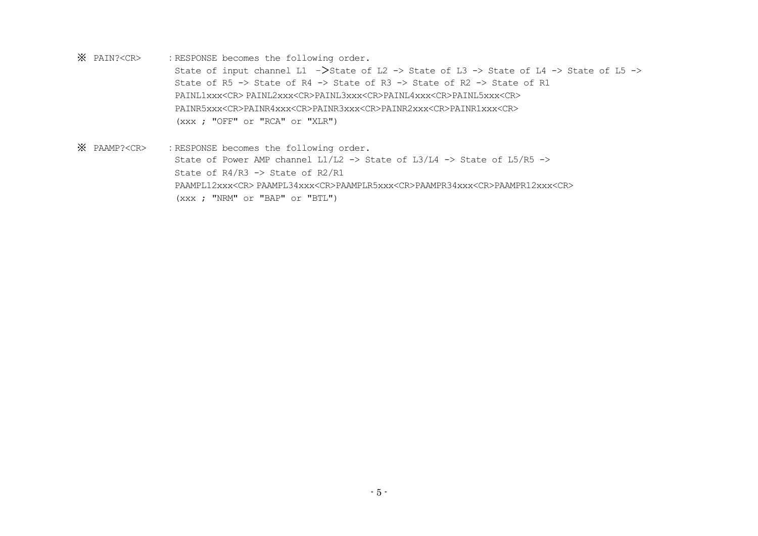※: RESPONSE becomes the following order.

> State of input channel L1 ->State of L2 -> State of L3 -> State of L4 -> State of L5 -> State of R5 -> State of R4 -> State of R3 -> State of R2 -> State of R1 PAINL1xxx<CR> PAINL2xxx<CR>PAINL3xxx<CR>PAINL4xxx<CR>PAINL5xxx<CR> PAINR5xxx<CR>PAINR4xxx<CR>PAINR3xxx<CR>PAINR2xxx<CR>PAINR1xxx<CR> (xxx ; "OFF" or "RCA" or "XLR")

※: RESPONSE becomes the following order. State of Power AMP channel  $L1/L2 \rightarrow$  State of  $L3/L4 \rightarrow$  State of  $L5/R5 \rightarrow$ State of R4/R3 -> State of R2/R1 PAAMPL12xxx<CR> PAAMPL34xxx<CR>PAAMPLR5xxx<CR>PAAMPR34xxx<CR>PAAMPR12xxx<CR> (xxx ; "NRM" or "BAP" or "BTL")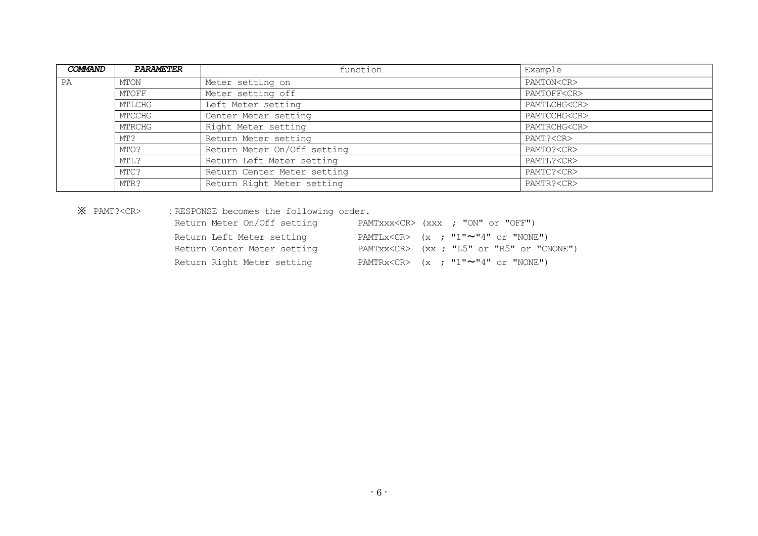| COMMAND | <b>PARAMETER</b> | function                    | Example            |
|---------|------------------|-----------------------------|--------------------|
| PA      | MTON             | Meter setting on            | PAMTON <cr></cr>   |
|         | MTOFF            | Meter setting off           | PAMTOFF <cr></cr>  |
|         | MTLCHG           | Left Meter setting          | PAMTLCHG <cr></cr> |
|         | MTCCHG           | Center Meter setting        | PAMTCCHG <cr></cr> |
|         | MTRCHG           | Right Meter setting         | PAMTRCHG <cr></cr> |
|         | MT?              | Return Meter setting        | PAMT? <cr></cr>    |
|         | MTO?             | Return Meter On/Off setting | PAMTO? <cr></cr>   |
|         | MTL?             | Return Left Meter setting   | PAMTL? <cr></cr>   |
|         | MTC?             | Return Center Meter setting | PAMTC? <cr></cr>   |
|         | MTR?             | Return Right Meter setting  | PAMTR? <cr></cr>   |

※

: RESPONSE becomes the following order.

| Return Meter On/Off setting |  | PAMTXXX <cr> (XXX); "ON" or "OFF")</cr>                    |
|-----------------------------|--|------------------------------------------------------------|
| Return Left Meter setting   |  | PAMTLx <cr> <math>(x ; "1"~\sim"~4"</math> or "NONE")</cr> |
| Return Center Meter setting |  | PAMTXX <cr> (XX; "L5" or "R5" or "CNONE")</cr>             |
| Return Right Meter setting  |  | PAMTRx <cr> <math>(x ; "1"~\sim"~4"</math> or "NONE")</cr> |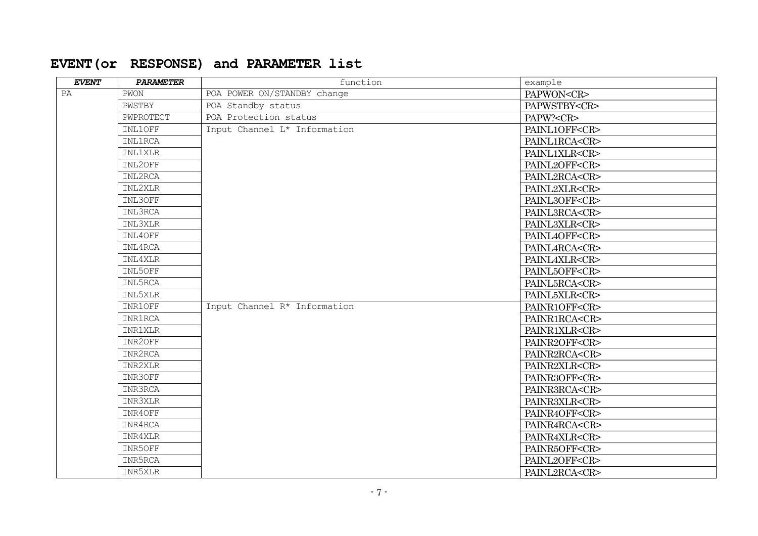# **EVENT(or RESPONSE) and PARAMETER list**

| <b>EVENT</b> | PARAMETER      | function                     | example             |
|--------------|----------------|------------------------------|---------------------|
| PA           | PWON           | POA POWER ON/STANDBY change  | PAPWON <cr></cr>    |
|              | PWSTBY         | POA Standby status           | PAPWSTBY <cr></cr>  |
|              | PWPROTECT      | POA Protection status        | PAPW? <cr></cr>     |
|              | INL1OFF        | Input Channel L* Information | PAINL1OFF <cr></cr> |
|              | <b>INL1RCA</b> |                              | PAINL1RCA <cr></cr> |
|              | <b>INL1XLR</b> |                              | PAINL1XLR <cr></cr> |
|              | INL2OFF        |                              | PAINL2OFF <cr></cr> |
|              | INL2RCA        |                              | PAINL2RCA <cr></cr> |
|              | INL2XLR        |                              | PAINL2XLR <cr></cr> |
|              | INL3OFF        |                              | PAINL3OFF <cr></cr> |
|              | INL3RCA        |                              | PAINL3RCA <cr></cr> |
|              | INL3XLR        |                              | PAINL3XLR <cr></cr> |
|              | INL4OFF        |                              | PAINL4OFF <cr></cr> |
|              | INL4RCA        |                              | PAINL4RCA <cr></cr> |
|              | INL4XLR        |                              | PAINL4XLR <cr></cr> |
|              | INL5OFF        |                              | PAINL5OFF <cr></cr> |
|              | INL5RCA        |                              | PAINL5RCA <cr></cr> |
|              | INL5XLR        |                              | PAINL5XLR <cr></cr> |
|              | INR1OFF        | Input Channel R* Information | PAINR1OFF <cr></cr> |
|              | <b>INR1RCA</b> |                              | PAINR1RCA <cr></cr> |
|              | <b>INR1XLR</b> |                              | PAINR1XLR <cr></cr> |
|              | INR2OFF        |                              | PAINR2OFF <cr></cr> |
|              | INR2RCA        |                              | PAINR2RCA <cr></cr> |
|              | INR2XLR        |                              | PAINR2XLR <cr></cr> |
|              | INR3OFF        |                              | PAINR3OFF <cr></cr> |
|              | INR3RCA        |                              | PAINR3RCA <cr></cr> |
|              | INR3XLR        |                              | PAINR3XLR <cr></cr> |
|              | INR4OFF        |                              | PAINR4OFF <cr></cr> |
|              | INR4RCA        |                              | PAINR4RCA <cr></cr> |
|              | INR4XLR        |                              | PAINR4XLR <cr></cr> |
|              | INR5OFF        |                              | PAINR5OFF <cr></cr> |
|              | INR5RCA        |                              | PAINL2OFF <cr></cr> |
|              | INR5XLR        |                              | PAINL2RCA <cr></cr> |